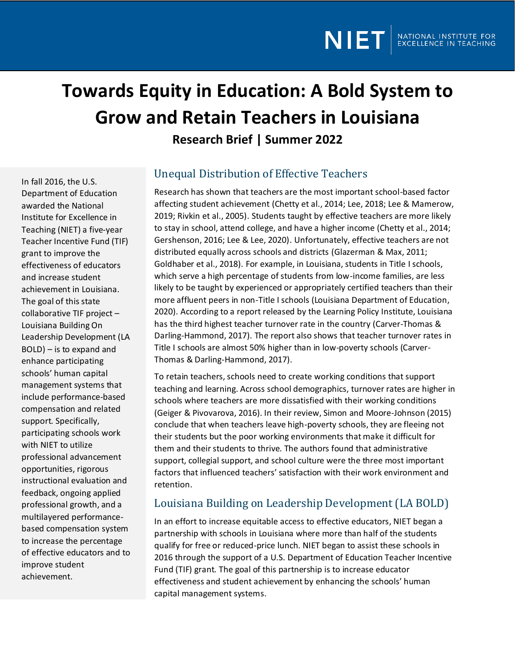# **Towards Equity in Education: A Bold System to Grow and Retain Teachers in Louisiana Research Brief | Summer 2022**

In fall 2016, the U.S. Department of Education awarded the National Institute for Excellence in Teaching (NIET) a five-year Teacher Incentive Fund (TIF) grant to improve the effectiveness of educators and increase student achievement in Louisiana. The goal of this state collaborative TIF project – Louisiana Building On Leadership Development (LA BOLD) – is to expand and enhance participating schools' human capital management systems that include performance-based compensation and related support. Specifically, participating schools work with NIET to utilize professional advancement opportunities, rigorous instructional evaluation and feedback, ongoing applied professional growth, and a multilayered performancebased compensation system to increase the percentage of effective educators and to improve student achievement.

## Unequal Distribution of Effective Teachers

Research has shown that teachers are the most important school-based factor affecting student achievement (Chetty et al., 2014; Lee, 2018; Lee & Mamerow, 2019; Rivkin et al., 2005). Students taught by effective teachers are more likely to stay in school, attend college, and have a higher income (Chetty et al., 2014; Gershenson, 2016; Lee & Lee, 2020). Unfortunately, effective teachers are not distributed equally across schools and districts (Glazerman & Max, 2011; Goldhaber et al., 2018). For example, in Louisiana, students in Title I schools, which serve a high percentage of students from low-income families, are less likely to be taught by experienced or appropriately certified teachers than their more affluent peers in non-Title I schools (Louisiana Department of Education, 2020). According to a report released by the Learning Policy Institute, Louisiana has the third highest teacher turnover rate in the country (Carver-Thomas & Darling-Hammond, 2017). The report also shows that teacher turnover rates in Title I schools are almost 50% higher than in low-poverty schools (Carver-Thomas & Darling-Hammond, 2017).

To retain teachers, schools need to create working conditions that support teaching and learning. Across school demographics, turnover rates are higher in schools where teachers are more dissatisfied with their working conditions (Geiger & Pivovarova, 2016). In their review, Simon and Moore-Johnson (2015) conclude that when teachers leave high-poverty schools, they are fleeing not their students but the poor working environments that make it difficult for them and their students to thrive. The authors found that administrative support, collegial support, and school culture were the three most important factors that influenced teachers' satisfaction with their work environment and retention.

### Louisiana Building on Leadership Development (LA BOLD)

In an effort to increase equitable access to effective educators, NIET began a partnership with schools in Louisiana where more than half of the students qualify for free or reduced-price lunch. NIET began to assist these schools in 2016 through the support of a U.S. Department of Education Teacher Incentive Fund (TIF) grant. The goal of this partnership is to increase educator effectiveness and student achievement by enhancing the schools' human capital management systems.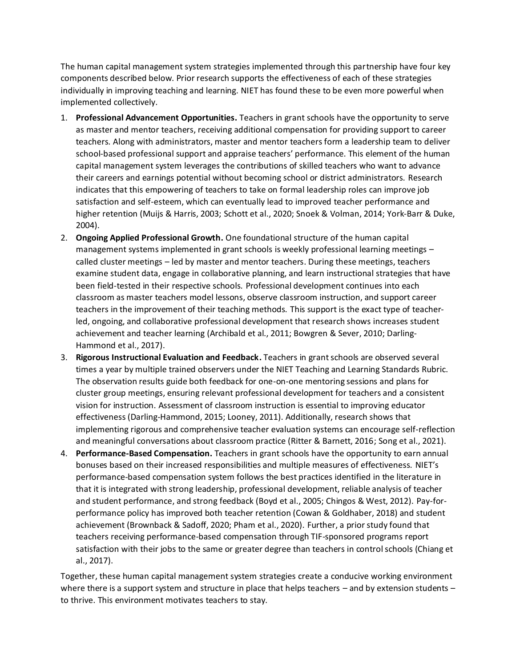The human capital management system strategies implemented through this partnership have four key components described below. Prior research supports the effectiveness of each of these strategies individually in improving teaching and learning. NIET has found these to be even more powerful when implemented collectively.

- 1. **Professional Advancement Opportunities.** Teachers in grant schools have the opportunity to serve as master and mentor teachers, receiving additional compensation for providing support to career teachers. Along with administrators, master and mentor teachers form a leadership team to deliver school-based professional support and appraise teachers' performance. This element of the human capital management system leverages the contributions of skilled teachers who want to advance their careers and earnings potential without becoming school or district administrators. Research indicates that this empowering of teachers to take on formal leadership roles can improve job satisfaction and self-esteem, which can eventually lead to improved teacher performance and higher retention (Muijs & Harris, 2003; Schott et al., 2020; Snoek & Volman, 2014; York-Barr & Duke, 2004).
- 2. **Ongoing Applied Professional Growth.** One foundational structure of the human capital management systems implemented in grant schools is weekly professional learning meetings – called cluster meetings – led by master and mentor teachers. During these meetings, teachers examine student data, engage in collaborative planning, and learn instructional strategies that have been field-tested in their respective schools. Professional development continues into each classroom as master teachers model lessons, observe classroom instruction, and support career teachers in the improvement of their teaching methods. This support is the exact type of teacherled, ongoing, and collaborative professional development that research shows increases student achievement and teacher learning (Archibald et al., 2011; Bowgren & Sever, 2010; Darling-Hammond et al., 2017).
- 3. **Rigorous Instructional Evaluation and Feedback.** Teachers in grantschools are observed several times a year by multiple trained observers under the NIET Teaching and Learning Standards Rubric. The observation results guide both feedback for one-on-one mentoring sessions and plans for cluster group meetings, ensuring relevant professional development for teachers and a consistent vision for instruction. Assessment of classroom instruction is essential to improving educator effectiveness (Darling-Hammond, 2015; Looney, 2011). Additionally, research shows that implementing rigorous and comprehensive teacher evaluation systems can encourage self-reflection and meaningful conversations about classroom practice (Ritter & Barnett, 2016; Song et al., 2021).
- 4. **Performance-Based Compensation.** Teachers in grant schools have the opportunity to earn annual bonuses based on their increased responsibilities and multiple measures of effectiveness. NIET's performance-based compensation system follows the best practices identified in the literature in that it is integrated with strong leadership, professional development, reliable analysis of teacher and student performance, and strong feedback (Boyd et al., 2005; Chingos & West, 2012). Pay-forperformance policy has improved both teacher retention (Cowan & Goldhaber, 2018) and student achievement (Brownback & Sadoff, 2020; Pham et al., 2020). Further, a prior study found that teachers receiving performance-based compensation through TIF-sponsored programs report satisfaction with their jobs to the same or greater degree than teachers in control schools (Chiang et al., 2017).

Together, these human capital management system strategies create a conducive working environment where there is a support system and structure in place that helps teachers – and by extension students – to thrive. This environment motivates teachers to stay.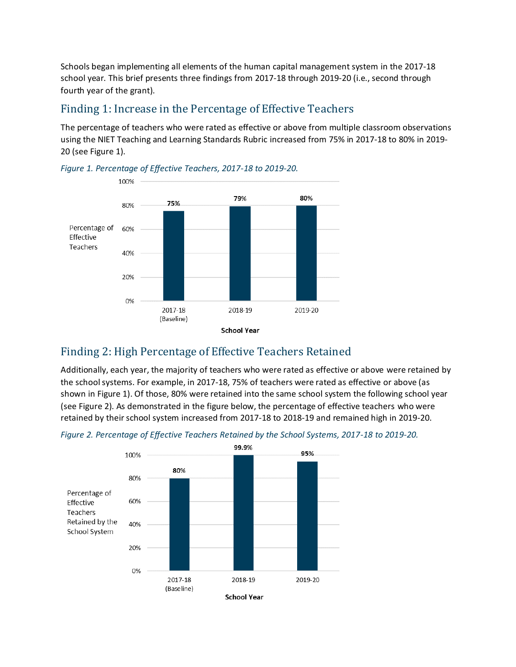Schools began implementing all elements of the human capital management system in the 2017-18 school year. This brief presents three findings from 2017-18 through 2019-20 (i.e., second through fourth year of the grant).

#### Finding 1: Increase in the Percentage of Effective Teachers

The percentage of teachers who were rated as effective or above from multiple classroom observations using the NIET Teaching and Learning Standards Rubric increased from 75% in 2017-18 to 80% in 2019- 20 (see Figure 1).



*Figure 1. Percentage of Effective Teachers, 2017-18 to 2019-20.*

### Finding 2: High Percentage of Effective Teachers Retained

Additionally, each year, the majority of teachers who were rated as effective or above were retained by the school systems. For example, in 2017-18, 75% of teachers were rated as effective or above (as shown in Figure 1). Of those, 80% were retained into the same school system the following school year (see Figure 2). As demonstrated in the figure below, the percentage of effective teachers who were retained by their school system increased from 2017-18 to 2018-19 and remained high in 2019-20.



*Figure 2. Percentage of Effective Teachers Retained by the School Systems, 2017-18 to 2019-20.*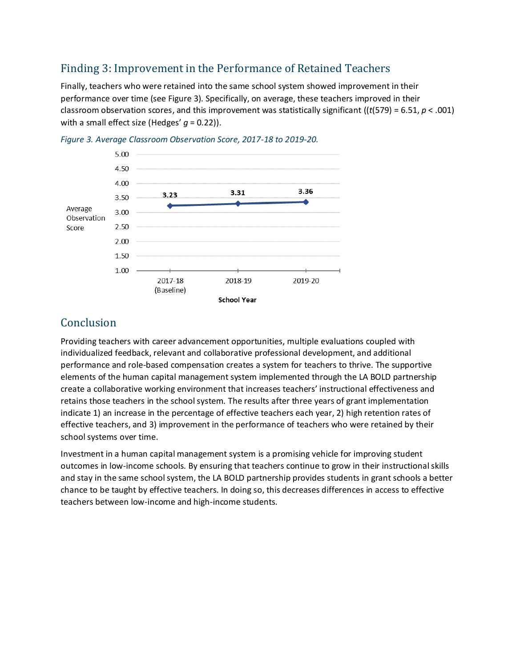### Finding 3: Improvement in the Performance of Retained Teachers

Finally, teachers who were retained into the same school system showed improvement in their performance over time (see Figure 3). Specifically, on average, these teachers improved in their classroom observation scores, and this improvement was statistically significant ((*t*(579) = 6.51, *p* < .001) with a small effect size (Hedges' *g* = 0.22)).





#### Conclusion

Providing teachers with career advancement opportunities, multiple evaluations coupled with individualized feedback, relevant and collaborative professional development, and additional performance and role-based compensation creates a system for teachers to thrive. The supportive elements of the human capital management system implemented through the LA BOLD partnership create a collaborative working environment that increases teachers' instructional effectiveness and retains those teachers in the school system. The results after three years of grant implementation indicate 1) an increase in the percentage of effective teachers each year, 2) high retention rates of effective teachers, and 3) improvement in the performance of teachers who were retained by their school systems over time.

Investment in a human capital management system is a promising vehicle for improving student outcomes in low-income schools. By ensuring that teachers continue to grow in their instructional skills and stay in the same school system, the LA BOLD partnership provides students in grant schools a better chance to be taught by effective teachers. In doing so, this decreases differences in access to effective teachers between low-income and high-income students.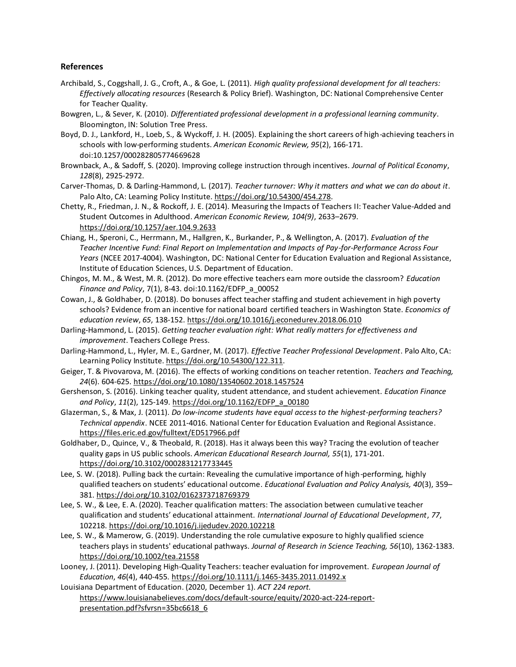#### **References**

- Archibald, S., Coggshall, J. G., Croft, A., & Goe, L. (2011). *High quality professional development for all teachers: Effectively allocating resources* (Research & Policy Brief). Washington, DC: National Comprehensive Center for Teacher Quality.
- Bowgren, L., & Sever, K. (2010). *Differentiated professional development in a professional learning community*. Bloomington, IN: Solution Tree Press.
- Boyd, D. J., Lankford, H., Loeb, S., & Wyckoff, J. H. (2005). Explaining the short careers of high-achieving teachers in schools with low-performing students. *American Economic Review, 95*(2), 166-171. doi:10.1257/000282805774669628
- Brownback, A., & Sadoff, S. (2020). Improving college instruction through incentives. *Journal of Political Economy*, *128*(8), 2925-2972.
- Carver-Thomas, D. & Darling-Hammond, L. (2017). *Teacher turnover: Why it matters and what we can do about it*. Palo Alto, CA: Learning Policy Institute. [https://doi.org/10.54300/454.278.](https://doi.org/10.54300/454.278)
- Chetty, R., Friedman, J. N., & Rockoff, J. E. (2014). Measuring the Impacts of Teachers II: Teacher Value-Added and Student Outcomes in Adulthood. *American Economic Review, 104(9)*, 2633–2679. <https://doi.org/10.1257/aer.104.9.2633>
- Chiang, H., Speroni, C., Herrmann, M., Hallgren, K., Burkander, P., & Wellington, A. (2017). *Evaluation of the Teacher Incentive Fund: Final Report on Implementation and Impacts of Pay-for-Performance Across Four Years* (NCEE 2017-4004). Washington, DC: National Center for Education Evaluation and Regional Assistance, Institute of Education Sciences, U.S. Department of Education.
- Chingos, M. M., & West, M. R. (2012). Do more effective teachers earn more outside the classroom? *Education Finance and Policy*, 7(1), 8-43. doi:10.1162/EDFP\_a\_00052
- Cowan, J., & Goldhaber, D. (2018). Do bonuses affect teacher staffing and student achievement in high poverty schools? Evidence from an incentive for national board certified teachers in Washington State. *Economics of education review*, *65*, 138-152.<https://doi.org/10.1016/j.econedurev.2018.06.010>
- Darling-Hammond, L. (2015). *Getting teacher evaluation right: What really matters for effectiveness and improvement*. Teachers College Press.
- Darling-Hammond, L., Hyler, M. E., Gardner, M. (2017). *Effective Teacher Professional Development*. Palo Alto, CA: Learning Policy Institute. [https://doi.org/10.54300/122.311.](https://doi.org/10.54300/122.311)
- Geiger, T. & Pivovarova, M. (2016). The effects of working conditions on teacher retention. *Teachers and Teaching, 24*(6). 604-625.<https://doi.org/10.1080/13540602.2018.1457524>
- Gershenson, S. (2016). Linking teacher quality, student attendance, and student achievement. *Education Finance and Policy*, *11*(2), 125-149[. https://doi.org/10.1162/EDFP\\_a\\_00180](https://doi.org/10.1162/EDFP_a_00180)
- Glazerman, S., & Max, J. (2011). *Do low-income students have equal access to the highest-performing teachers? Technical appendix*. NCEE 2011-4016. National Center for Education Evaluation and Regional Assistance. <https://files.eric.ed.gov/fulltext/ED517966.pdf>
- Goldhaber, D., Quince, V., & Theobald, R. (2018). Has it always been this way? Tracing the evolution of teacher quality gaps in US public schools. *American Educational Research Journal, 55*(1), 171-201. <https://doi.org/10.3102/0002831217733445>
- Lee, S. W. (2018). Pulling back the curtain: Revealing the cumulative importance of high-performing, highly qualified teachers on students' educational outcome. *Educational Evaluation and Policy Analysis, 40*(3), 359– 381[. https://doi.org/10.3102/0162373718769379](https://doi.org/10.3102/0162373718769379)
- Lee, S. W., & Lee, E. A. (2020). Teacher qualification matters: The association between cumulative teacher qualification and students' educational attainment. *International Journal of Educational Development*, *77*, 102218[. https://doi.org/10.1016/j.ijedudev.2020.102218](https://doi.org/10.1016/j.ijedudev.2020.102218)
- Lee, S. W., & Mamerow, G. (2019). Understanding the role cumulative exposure to highly qualified science teachers plays in students' educational pathways. *Journal of Research in Science Teaching, 56*(10), 1362-1383. <https://doi.org/10.1002/tea.21558>
- Looney, J. (2011). Developing High‐Quality Teachers: teacher evaluation for improvement. *European Journal of Education*, *46*(4), 440-455.<https://doi.org/10.1111/j.1465-3435.2011.01492.x>

Louisiana Department of Education. (2020, December 1). *ACT 224 report.*  [https://www.louisianabelieves.com/docs/default-source/equity/2020-act-224-report](https://www.louisianabelieves.com/docs/default-source/equity/2020-act-224-report-presentation.pdf?sfvrsn=35bc6618_6)[presentation.pdf?sfvrsn=35bc6618\\_6](https://www.louisianabelieves.com/docs/default-source/equity/2020-act-224-report-presentation.pdf?sfvrsn=35bc6618_6)